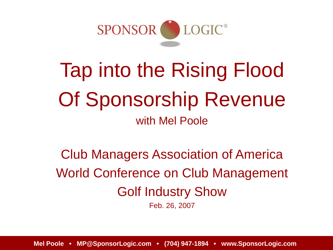

# Tap into the Rising Flood Of Sponsorship Revenue with Mel Poole

Club Managers Association of America World Conference on Club Management Golf Industry Show

Feb. 26, 2007

**Mel Poole • MP@SponsorLogic.com • (704) 947-1894 • www.SponsorLogic.com**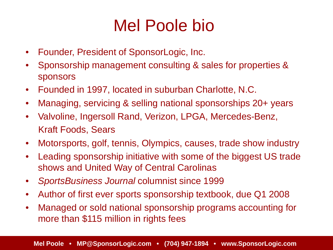#### Mel Poole bio

- Founder, President of SponsorLogic, Inc.
- Sponsorship management consulting & sales for properties & sponsors
- Founded in 1997, located in suburban Charlotte, N.C.
- Managing, servicing & selling national sponsorships 20+ years
- Valvoline, Ingersoll Rand, Verizon, LPGA, Mercedes-Benz, Kraft Foods, Sears
- Motorsports, golf, tennis, Olympics, causes, trade show industry
- Leading sponsorship initiative with some of the biggest US trade shows and United Way of Central Carolinas
- *SportsBusiness Journal* columnist since 1999
- Author of first ever sports sponsorship textbook, due Q1 2008
- Managed or sold national sponsorship programs accounting for more than \$115 million in rights fees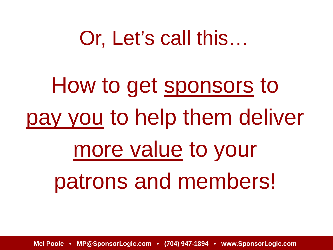# Or, Let's call this…

How to get sponsors to pay you to help them deliver more value to your patrons and members!

**Mel Poole • MP@SponsorLogic.com • (704) 947-1894 • www.SponsorLogic.com**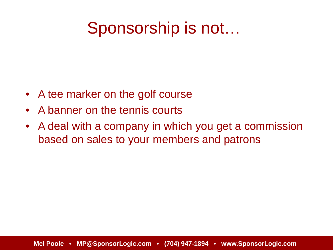#### Sponsorship is not…

- A tee marker on the golf course
- A banner on the tennis courts
- A deal with a company in which you get a commission based on sales to your members and patrons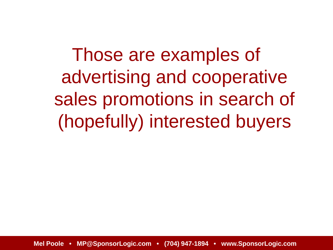Those are examples of advertising and cooperative sales promotions in search of (hopefully) interested buyers

**Mel Poole • MP@SponsorLogic.com • (704) 947-1894 • www.SponsorLogic.com**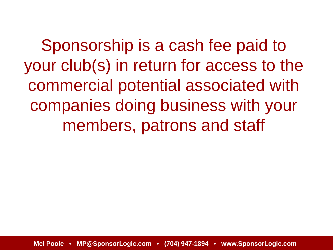Sponsorship is a cash fee paid to your club(s) in return for access to the commercial potential associated with companies doing business with your members, patrons and staff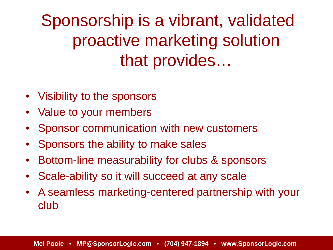Sponsorship is a vibrant, validated proactive marketing solution that provides…

- Visibility to the sponsors
- Value to your members
- Sponsor communication with new customers
- Sponsors the ability to make sales
- Bottom-line measurability for clubs & sponsors
- Scale-ability so it will succeed at any scale
- A seamless marketing-centered partnership with your club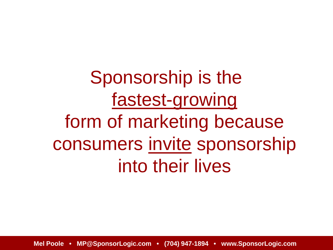Sponsorship is the fastest-growing form of marketing because consumers invite sponsorship into their lives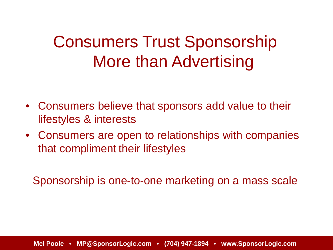### Consumers Trust Sponsorship More than Advertising

- Consumers believe that sponsors add value to their lifestyles & interests
- Consumers are open to relationships with companies that compliment their lifestyles

Sponsorship is one-to-one marketing on a mass scale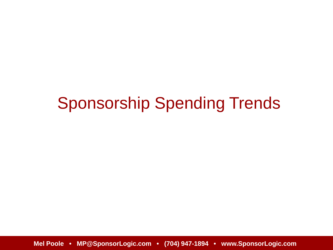#### Sponsorship Spending Trends

**Mel Poole • MP@SponsorLogic.com • (704) 947-1894 • www.SponsorLogic.com**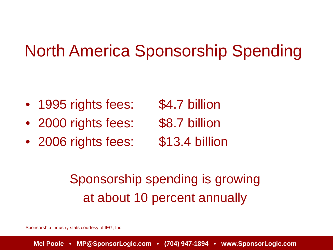#### North America Sponsorship Spending

- 1995 rights fees: \$4.7 billion
- 2000 rights fees: \$8.7 billion
- 2006 rights fees: \$13.4 billion

- 
- 

#### Sponsorship spending is growing at about 10 percent annually

Sponsorship Industry stats courtesy of IEG, Inc.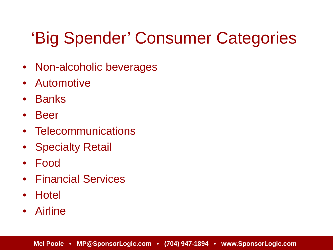# 'Big Spender' Consumer Categories

- Non-alcoholic beverages
- Automotive
- Banks
- Beer
- Telecommunications
- **Specialty Retail**
- Food
- Financial Services
- Hotel
- Airline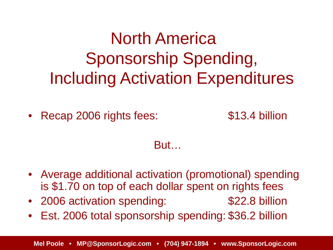North America Sponsorship Spending, Including Activation Expenditures

• Recap 2006 rights fees: \$13.4 billion

But…

- Average additional activation (promotional) spending is \$1.70 on top of each dollar spent on rights fees
- 2006 activation spending: \$22.8 billion
- Est. 2006 total sponsorship spending: \$36.2 billion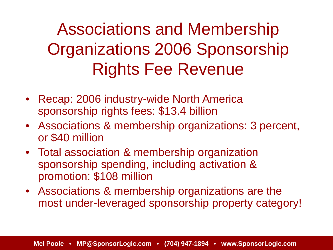# Associations and Membership Organizations 2006 Sponsorship Rights Fee Revenue

- Recap: 2006 industry-wide North America sponsorship rights fees: \$13.4 billion
- Associations & membership organizations: 3 percent, or \$40 million
- Total association & membership organization sponsorship spending, including activation & promotion: \$108 million
- Associations & membership organizations are the most under-leveraged sponsorship property category!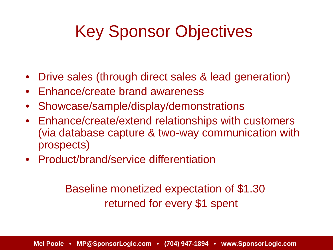# Key Sponsor Objectives

- Drive sales (through direct sales & lead generation)
- Enhance/create brand awareness
- Showcase/sample/display/demonstrations
- Enhance/create/extend relationships with customers (via database capture & two-way communication with prospects)
- Product/brand/service differentiation

Baseline monetized expectation of \$1.30 returned for every \$1 spent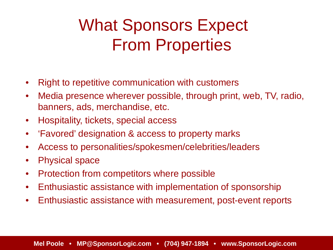# What Sponsors Expect From Properties

- Right to repetitive communication with customers
- Media presence wherever possible, through print, web, TV, radio, banners, ads, merchandise, etc.
- Hospitality, tickets, special access
- 'Favored' designation & access to property marks
- Access to personalities/spokesmen/celebrities/leaders
- Physical space
- Protection from competitors where possible
- Enthusiastic assistance with implementation of sponsorship
- Enthusiastic assistance with measurement, post-event reports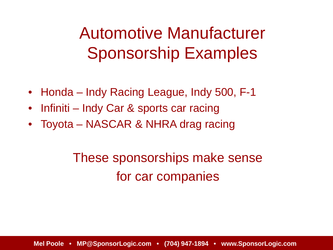## Automotive Manufacturer Sponsorship Examples

- Honda Indy Racing League, Indy 500, F-1
- Infiniti Indy Car & sports car racing
- Toyota NASCAR & NHRA drag racing

#### These sponsorships make sense for car companies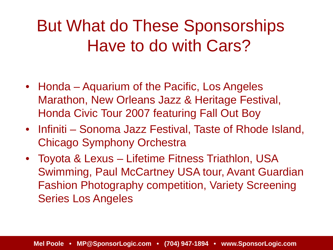#### But What do These Sponsorships Have to do with Cars?

- Honda Aquarium of the Pacific, Los Angeles Marathon, New Orleans Jazz & Heritage Festival, Honda Civic Tour 2007 featuring Fall Out Boy
- Infiniti Sonoma Jazz Festival, Taste of Rhode Island, Chicago Symphony Orchestra
- Toyota & Lexus Lifetime Fitness Triathlon, USA Swimming, Paul McCartney USA tour, Avant Guardian Fashion Photography competition, Variety Screening Series Los Angeles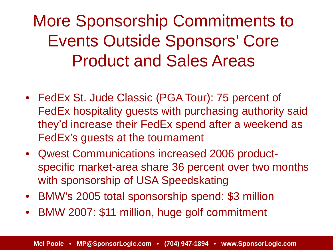More Sponsorship Commitments to Events Outside Sponsors' Core Product and Sales Areas

- FedEx St. Jude Classic (PGA Tour): 75 percent of FedEx hospitality guests with purchasing authority said they'd increase their FedEx spend after a weekend as FedEx's guests at the tournament
- Qwest Communications increased 2006 productspecific market-area share 36 percent over two months with sponsorship of USA Speedskating
- BMW's 2005 total sponsorship spend: \$3 million
- BMW 2007: \$11 million, huge golf commitment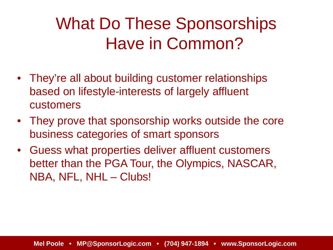## What Do These Sponsorships Have in Common?

- They're all about building customer relationships based on lifestyle-interests of largely affluent customers
- They prove that sponsorship works outside the core business categories of smart sponsors
- Guess what properties deliver affluent customers better than the PGA Tour, the Olympics, NASCAR, NBA, NFL, NHL – Clubs!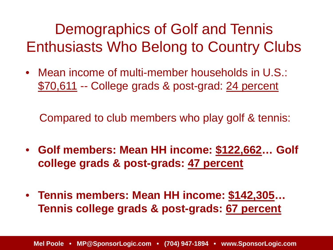Demographics of Golf and Tennis Enthusiasts Who Belong to Country Clubs

• Mean income of multi-member households in U.S.: \$70,611 -- College grads & post-grad: 24 percent

Compared to club members who play golf & tennis:

- **Golf members: Mean HH income: \$122,662… Golf college grads & post-grads: 47 percent**
- **Tennis members: Mean HH income: \$142,305… Tennis college grads & post-grads: 67 percent**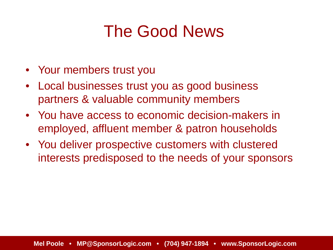#### The Good News

- Your members trust you
- Local businesses trust you as good business partners & valuable community members
- You have access to economic decision-makers in employed, affluent member & patron households
- You deliver prospective customers with clustered interests predisposed to the needs of your sponsors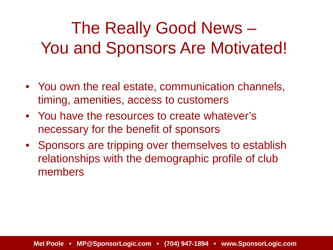# The Really Good News – You and Sponsors Are Motivated!

- You own the real estate, communication channels, timing, amenities, access to customers
- You have the resources to create whatever's necessary for the benefit of sponsors
- Sponsors are tripping over themselves to establish relationships with the demographic profile of club members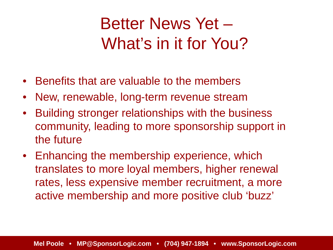## Better News Yet – What's in it for You?

- Benefits that are valuable to the members
- New, renewable, long-term revenue stream
- Building stronger relationships with the business community, leading to more sponsorship support in the future
- Enhancing the membership experience, which translates to more loyal members, higher renewal rates, less expensive member recruitment, a more active membership and more positive club 'buzz'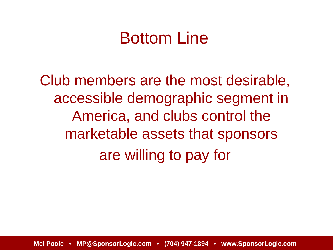#### Bottom Line

Club members are the most desirable, accessible demographic segment in America, and clubs control the marketable assets that sponsors are willing to pay for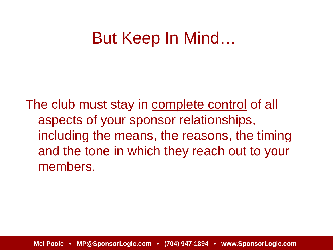#### But Keep In Mind…

The club must stay in complete control of all aspects of your sponsor relationships, including the means, the reasons, the timing and the tone in which they reach out to your members.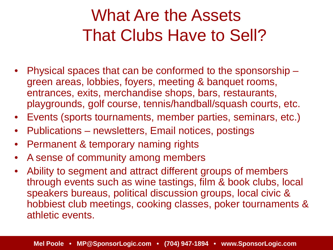## What Are the Assets That Clubs Have to Sell?

- Physical spaces that can be conformed to the sponsorship green areas, lobbies, foyers, meeting & banquet rooms, entrances, exits, merchandise shops, bars, restaurants, playgrounds, golf course, tennis/handball/squash courts, etc.
- Events (sports tournaments, member parties, seminars, etc.)
- Publications newsletters, Email notices, postings
- Permanent & temporary naming rights
- A sense of community among members
- Ability to segment and attract different groups of members through events such as wine tastings, film & book clubs, local speakers bureaus, political discussion groups, local civic & hobbiest club meetings, cooking classes, poker tournaments & athletic events.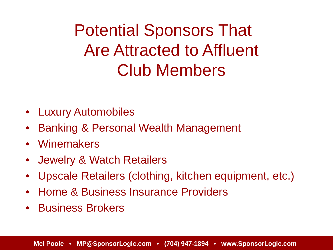Potential Sponsors That Are Attracted to Affluent Club Members

- Luxury Automobiles
- Banking & Personal Wealth Management
- Winemakers
- Jewelry & Watch Retailers
- Upscale Retailers (clothing, kitchen equipment, etc.)
- Home & Business Insurance Providers
- Business Brokers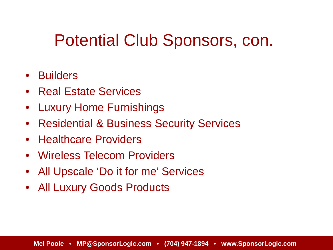#### Potential Club Sponsors, con.

- Builders
- Real Estate Services
- Luxury Home Furnishings
- Residential & Business Security Services
- Healthcare Providers
- Wireless Telecom Providers
- All Upscale 'Do it for me' Services
- All Luxury Goods Products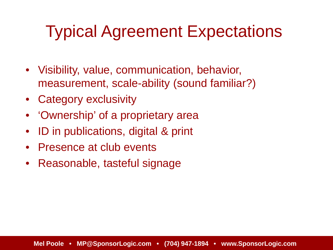#### Typical Agreement Expectations

- Visibility, value, communication, behavior, measurement, scale-ability (sound familiar?)
- Category exclusivity
- 'Ownership' of a proprietary area
- ID in publications, digital & print
- Presence at club events
- Reasonable, tasteful signage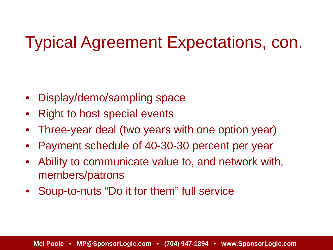#### Typical Agreement Expectations, con.

- Display/demo/sampling space
- Right to host special events
- Three-year deal (two years with one option year)
- Payment schedule of 40-30-30 percent per year
- Ability to communicate value to, and network with, members/patrons
- Soup-to-nuts "Do it for them" full service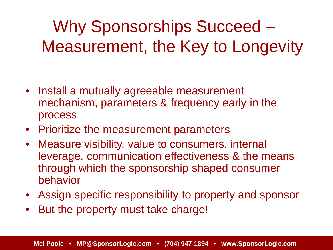Why Sponsorships Succeed – Measurement, the Key to Longevity

- Install a mutually agreeable measurement mechanism, parameters & frequency early in the process
- Prioritize the measurement parameters
- Measure visibility, value to consumers, internal leverage, communication effectiveness & the means through which the sponsorship shaped consumer behavior
- Assign specific responsibility to property and sponsor
- But the property must take charge!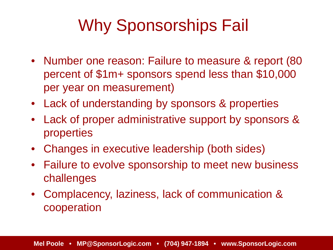# Why Sponsorships Fail

- Number one reason: Failure to measure & report (80) percent of \$1m+ sponsors spend less than \$10,000 per year on measurement)
- Lack of understanding by sponsors & properties
- Lack of proper administrative support by sponsors & properties
- Changes in executive leadership (both sides)
- Failure to evolve sponsorship to meet new business challenges
- Complacency, laziness, lack of communication & cooperation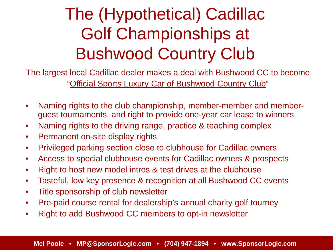# The (Hypothetical) Cadillac Golf Championships at Bushwood Country Club

The largest local Cadillac dealer makes a deal with Bushwood CC to become "Official Sports Luxury Car of Bushwood Country Club"

- Naming rights to the club championship, member-member and memberguest tournaments, and right to provide one-year car lease to winners
- Naming rights to the driving range, practice & teaching complex
- Permanent on-site display rights
- Privileged parking section close to clubhouse for Cadillac owners
- Access to special clubhouse events for Cadillac owners & prospects
- Right to host new model intros & test drives at the clubhouse
- Tasteful, low key presence & recognition at all Bushwood CC events
- Title sponsorship of club newsletter
- Pre-paid course rental for dealership's annual charity golf tourney
- Right to add Bushwood CC members to opt-in newsletter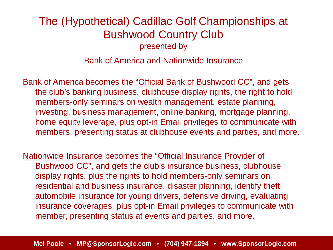#### The (Hypothetical) Cadillac Golf Championships at Bushwood Country Club presented by

Bank of America and Nationwide Insurance

Bank of America becomes the "Official Bank of Bushwood CC", and gets the club's banking business, clubhouse display rights, the right to hold members-only seminars on wealth management, estate planning, investing, business management, online banking, mortgage planning, home equity leverage, plus opt-in Email privileges to communicate with members, presenting status at clubhouse events and parties, and more.

Nationwide Insurance becomes the "Official Insurance Provider of Bushwood CC", and gets the club's insurance business, clubhouse display rights, plus the rights to hold members-only seminars on residential and business insurance, disaster planning, identify theft, automobile insurance for young drivers, defensive driving, evaluating insurance coverages, plus opt-in Email privileges to communicate with member, presenting status at events and parties, and more.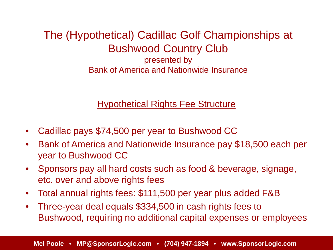#### The (Hypothetical) Cadillac Golf Championships at Bushwood Country Club presented by

Bank of America and Nationwide Insurance

#### **Hypothetical Rights Fee Structure**

- Cadillac pays \$74,500 per year to Bushwood CC
- Bank of America and Nationwide Insurance pay \$18,500 each per year to Bushwood CC
- Sponsors pay all hard costs such as food & beverage, signage, etc. over and above rights fees
- Total annual rights fees: \$111,500 per year plus added F&B
- Three-year deal equals \$334,500 in cash rights fees to Bushwood, requiring no additional capital expenses or employees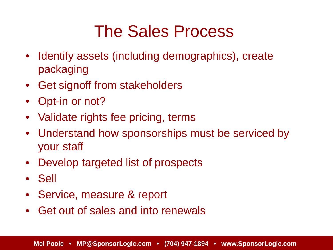#### The Sales Process

- Identify assets (including demographics), create packaging
- Get signoff from stakeholders
- Opt-in or not?
- Validate rights fee pricing, terms
- Understand how sponsorships must be serviced by your staff
- Develop targeted list of prospects
- Sell
- Service, measure & report
- Get out of sales and into renewals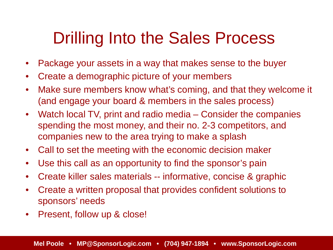#### Drilling Into the Sales Process

- Package your assets in a way that makes sense to the buyer
- Create a demographic picture of your members
- Make sure members know what's coming, and that they welcome it (and engage your board & members in the sales process)
- Watch local TV, print and radio media Consider the companies spending the most money, and their no. 2-3 competitors, and companies new to the area trying to make a splash
- Call to set the meeting with the economic decision maker
- Use this call as an opportunity to find the sponsor's pain
- Create killer sales materials -- informative, concise & graphic
- Create a written proposal that provides confident solutions to sponsors' needs
- Present, follow up & close!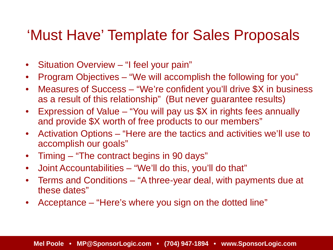#### 'Must Have' Template for Sales Proposals

- Situation Overview "I feel your pain"
- Program Objectives "We will accomplish the following for you"
- Measures of Success "We're confident you'll drive \$X in business as a result of this relationship" (But never guarantee results)
- Expression of Value "You will pay us \$X in rights fees annually and provide \$X worth of free products to our members"
- Activation Options "Here are the tactics and activities we'll use to accomplish our goals"
- Timing "The contract begins in 90 days"
- Joint Accountabilities "We'll do this, you'll do that"
- Terms and Conditions "A three-year deal, with payments due at these dates"
- Acceptance "Here's where you sign on the dotted line"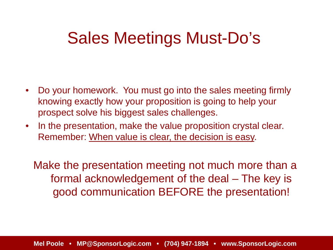#### Sales Meetings Must-Do's

- Do your homework. You must go into the sales meeting firmly knowing exactly how your proposition is going to help your prospect solve his biggest sales challenges.
- In the presentation, make the value proposition crystal clear. Remember: When value is clear, the decision is easy.

Make the presentation meeting not much more than a formal acknowledgement of the deal – The key is good communication BEFORE the presentation!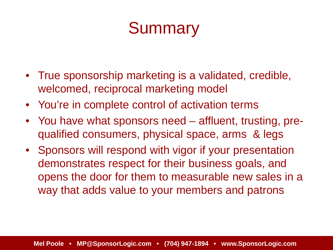## **Summary**

- True sponsorship marketing is a validated, credible, welcomed, reciprocal marketing model
- You're in complete control of activation terms
- You have what sponsors need affluent, trusting, prequalified consumers, physical space, arms & legs
- Sponsors will respond with vigor if your presentation demonstrates respect for their business goals, and opens the door for them to measurable new sales in a way that adds value to your members and patrons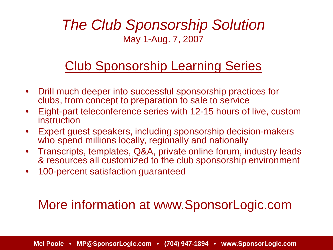#### *The Club Sponsorship Solution* May 1-Aug. 7, 2007

#### Club Sponsorship Learning Series

- Drill much deeper into successful sponsorship practices for clubs, from concept to preparation to sale to service
- Eight-part teleconference series with 12-15 hours of live, custom instruction
- Expert guest speakers, including sponsorship decision-makers who spend millions locally, regionally and nationally
- Transcripts, templates, Q&A, private online forum, industry leads & resources all customized to the club sponsorship environment
- 100-percent satisfaction guaranteed

#### More information at www.SponsorLogic.com